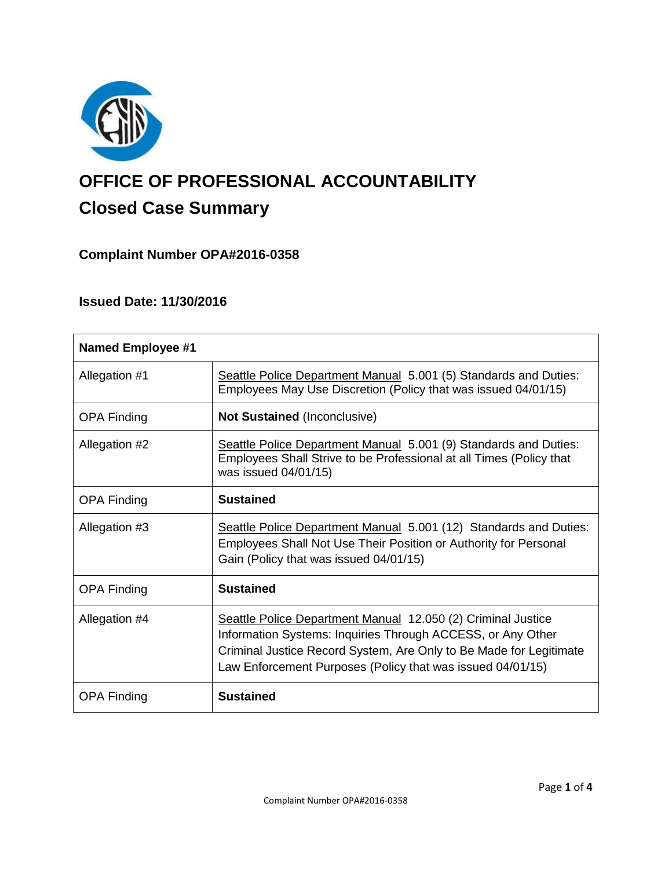

# **OFFICE OF PROFESSIONAL ACCOUNTABILITY Closed Case Summary**

## **Complaint Number OPA#2016-0358**

## **Issued Date: 11/30/2016**

| <b>Named Employee #1</b> |                                                                                                                                                                                                                                                                 |
|--------------------------|-----------------------------------------------------------------------------------------------------------------------------------------------------------------------------------------------------------------------------------------------------------------|
| Allegation #1            | Seattle Police Department Manual 5.001 (5) Standards and Duties:<br>Employees May Use Discretion (Policy that was issued 04/01/15)                                                                                                                              |
| <b>OPA Finding</b>       | <b>Not Sustained (Inconclusive)</b>                                                                                                                                                                                                                             |
| Allegation #2            | Seattle Police Department Manual 5.001 (9) Standards and Duties:<br>Employees Shall Strive to be Professional at all Times (Policy that<br>was issued 04/01/15)                                                                                                 |
| <b>OPA Finding</b>       | <b>Sustained</b>                                                                                                                                                                                                                                                |
| Allegation #3            | Seattle Police Department Manual 5.001 (12) Standards and Duties:<br>Employees Shall Not Use Their Position or Authority for Personal<br>Gain (Policy that was issued 04/01/15)                                                                                 |
| <b>OPA Finding</b>       | <b>Sustained</b>                                                                                                                                                                                                                                                |
| Allegation #4            | Seattle Police Department Manual 12.050 (2) Criminal Justice<br>Information Systems: Inquiries Through ACCESS, or Any Other<br>Criminal Justice Record System, Are Only to Be Made for Legitimate<br>Law Enforcement Purposes (Policy that was issued 04/01/15) |
| <b>OPA Finding</b>       | <b>Sustained</b>                                                                                                                                                                                                                                                |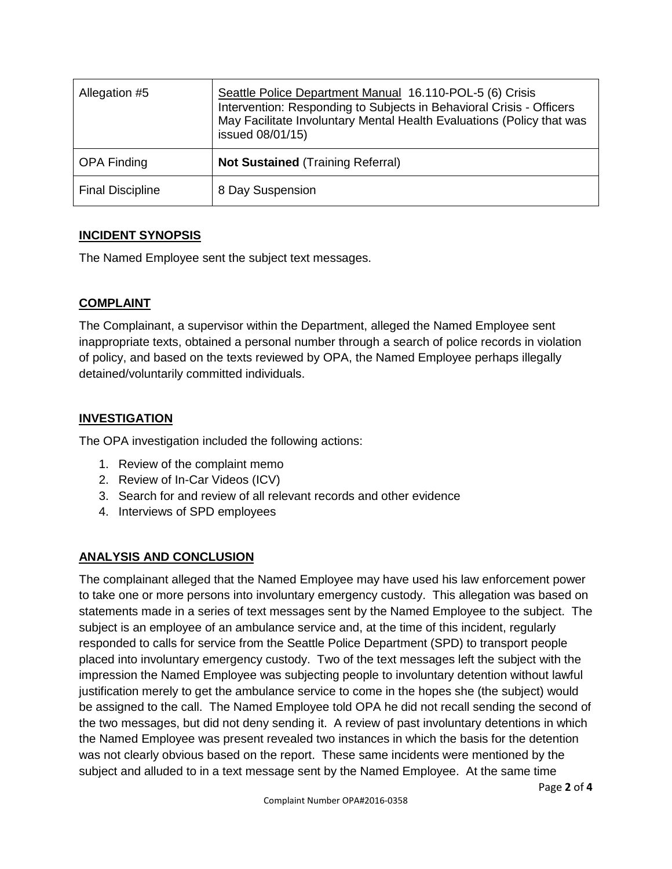| Allegation #5           | Seattle Police Department Manual 16.110-POL-5 (6) Crisis<br>Intervention: Responding to Subjects in Behavioral Crisis - Officers<br>May Facilitate Involuntary Mental Health Evaluations (Policy that was<br>issued 08/01/15) |
|-------------------------|-------------------------------------------------------------------------------------------------------------------------------------------------------------------------------------------------------------------------------|
| <b>OPA Finding</b>      | <b>Not Sustained (Training Referral)</b>                                                                                                                                                                                      |
| <b>Final Discipline</b> | 8 Day Suspension                                                                                                                                                                                                              |

## **INCIDENT SYNOPSIS**

The Named Employee sent the subject text messages.

## **COMPLAINT**

The Complainant, a supervisor within the Department, alleged the Named Employee sent inappropriate texts, obtained a personal number through a search of police records in violation of policy, and based on the texts reviewed by OPA, the Named Employee perhaps illegally detained/voluntarily committed individuals.

## **INVESTIGATION**

The OPA investigation included the following actions:

- 1. Review of the complaint memo
- 2. Review of In-Car Videos (ICV)
- 3. Search for and review of all relevant records and other evidence
- 4. Interviews of SPD employees

## **ANALYSIS AND CONCLUSION**

The complainant alleged that the Named Employee may have used his law enforcement power to take one or more persons into involuntary emergency custody. This allegation was based on statements made in a series of text messages sent by the Named Employee to the subject. The subject is an employee of an ambulance service and, at the time of this incident, regularly responded to calls for service from the Seattle Police Department (SPD) to transport people placed into involuntary emergency custody. Two of the text messages left the subject with the impression the Named Employee was subjecting people to involuntary detention without lawful justification merely to get the ambulance service to come in the hopes she (the subject) would be assigned to the call. The Named Employee told OPA he did not recall sending the second of the two messages, but did not deny sending it. A review of past involuntary detentions in which the Named Employee was present revealed two instances in which the basis for the detention was not clearly obvious based on the report. These same incidents were mentioned by the subject and alluded to in a text message sent by the Named Employee. At the same time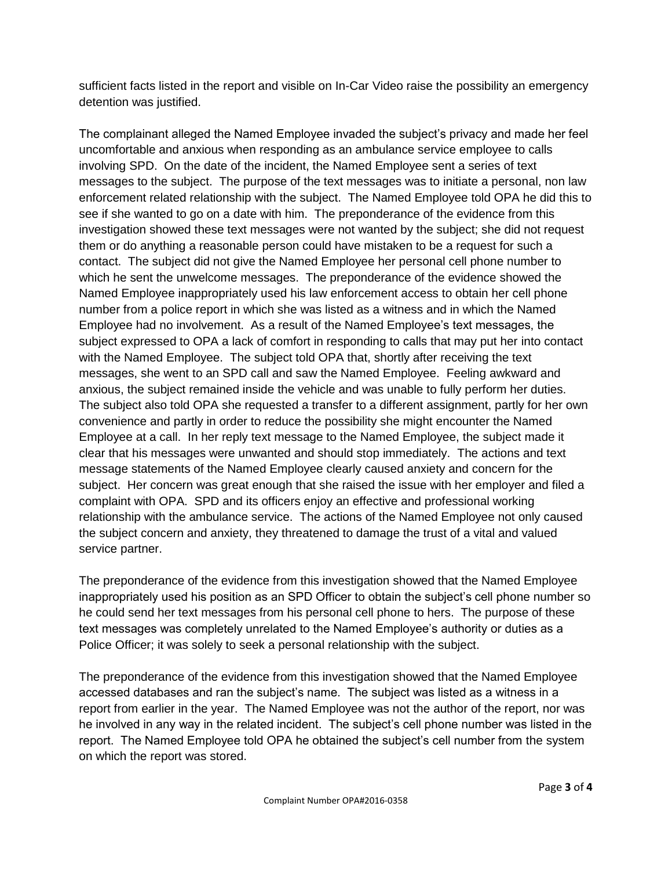sufficient facts listed in the report and visible on In-Car Video raise the possibility an emergency detention was justified.

The complainant alleged the Named Employee invaded the subject's privacy and made her feel uncomfortable and anxious when responding as an ambulance service employee to calls involving SPD. On the date of the incident, the Named Employee sent a series of text messages to the subject. The purpose of the text messages was to initiate a personal, non law enforcement related relationship with the subject. The Named Employee told OPA he did this to see if she wanted to go on a date with him. The preponderance of the evidence from this investigation showed these text messages were not wanted by the subject; she did not request them or do anything a reasonable person could have mistaken to be a request for such a contact. The subject did not give the Named Employee her personal cell phone number to which he sent the unwelcome messages. The preponderance of the evidence showed the Named Employee inappropriately used his law enforcement access to obtain her cell phone number from a police report in which she was listed as a witness and in which the Named Employee had no involvement. As a result of the Named Employee's text messages, the subject expressed to OPA a lack of comfort in responding to calls that may put her into contact with the Named Employee. The subject told OPA that, shortly after receiving the text messages, she went to an SPD call and saw the Named Employee. Feeling awkward and anxious, the subject remained inside the vehicle and was unable to fully perform her duties. The subject also told OPA she requested a transfer to a different assignment, partly for her own convenience and partly in order to reduce the possibility she might encounter the Named Employee at a call. In her reply text message to the Named Employee, the subject made it clear that his messages were unwanted and should stop immediately. The actions and text message statements of the Named Employee clearly caused anxiety and concern for the subject. Her concern was great enough that she raised the issue with her employer and filed a complaint with OPA. SPD and its officers enjoy an effective and professional working relationship with the ambulance service. The actions of the Named Employee not only caused the subject concern and anxiety, they threatened to damage the trust of a vital and valued service partner.

The preponderance of the evidence from this investigation showed that the Named Employee inappropriately used his position as an SPD Officer to obtain the subject's cell phone number so he could send her text messages from his personal cell phone to hers. The purpose of these text messages was completely unrelated to the Named Employee's authority or duties as a Police Officer; it was solely to seek a personal relationship with the subject.

The preponderance of the evidence from this investigation showed that the Named Employee accessed databases and ran the subject's name. The subject was listed as a witness in a report from earlier in the year. The Named Employee was not the author of the report, nor was he involved in any way in the related incident. The subject's cell phone number was listed in the report. The Named Employee told OPA he obtained the subject's cell number from the system on which the report was stored.